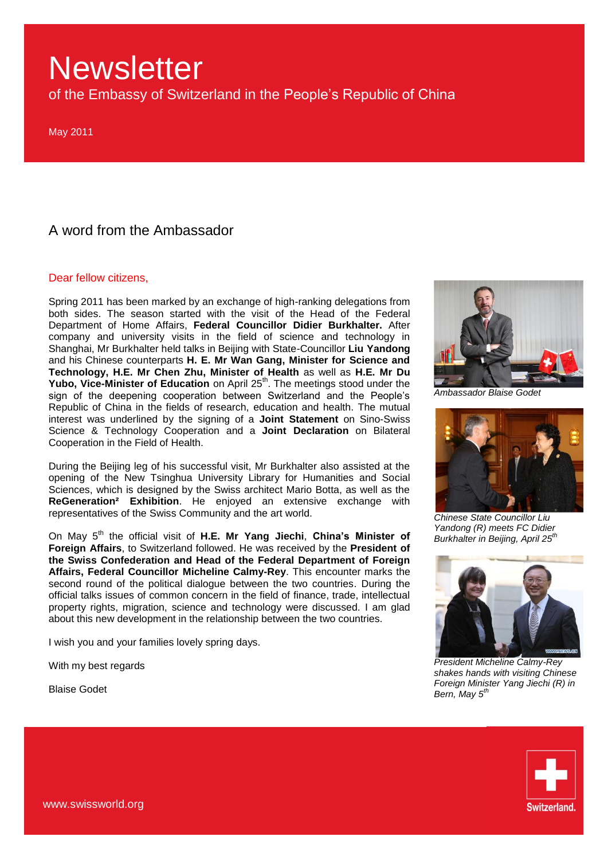of the Embassy of Switzerland in the People"s Republic of China

May 2011

### A word from the Ambassador

#### Dear fellow citizens,

Spring 2011 has been marked by an exchange of high-ranking delegations from both sides. The season started with the visit of the Head of the Federal Department of Home Affairs, **Federal Councillor Didier Burkhalter.** After company and university visits in the field of science and technology in Shanghai, Mr Burkhalter held talks in Beijing with State-Councillor **Liu Yandong** and his Chinese counterparts **H. E. Mr Wan Gang, Minister for Science and Technology, H.E. Mr Chen Zhu, Minister of Health** as well as **H.E. Mr Du**  Yubo, Vice-Minister of Education on April 25<sup>th</sup>. The meetings stood under the sign of the deepening cooperation between Switzerland and the People"s Republic of China in the fields of research, education and health. The mutual interest was underlined by the signing of a **Joint Statement** on Sino-Swiss Science & Technology Cooperation and a **Joint Declaration** on Bilateral Cooperation in the Field of Health.

During the Beijing leg of his successful visit, Mr Burkhalter also assisted at the opening of the New Tsinghua University Library for Humanities and Social Sciences, which is designed by the Swiss architect Mario Botta, as well as the **ReGeneration² Exhibition**. He enjoyed an extensive exchange with representatives of the Swiss Community and the art world.

On May 5<sup>th</sup> the official visit of H.E. Mr Yang Jiechi, China's Minister of **Foreign Affairs**, to Switzerland followed. He was received by the **President of the Swiss Confederation and Head of the Federal Department of Foreign Affairs, Federal Councillor Micheline Calmy-Rey**. This encounter marks the second round of the political dialogue between the two countries. During the official talks issues of common concern in the field of finance, trade, intellectual property rights, migration, science and technology were discussed. I am glad about this new development in the relationship between the two countries.

I wish you and your families lovely spring days.

With my best regards

Blaise Godet



*Ambassador Blaise Godet*



*Chinese State Councillor Liu Yandong (R) meets FC Didier Burkhalter in Beijing, April 25th*



*President Micheline Calmy-Rey shakes hands with visiting Chinese Foreign Minister Yang Jiechi (R) in Bern, May 5th*

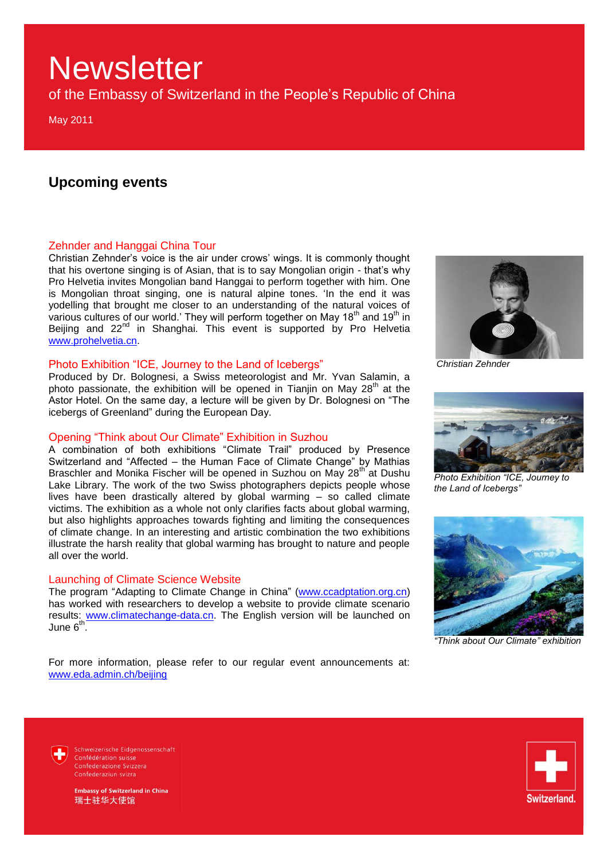of the Embassy of Switzerland in the People"s Republic of China

May 2011

### **Upcoming events**

#### Zehnder and Hanggai China Tour

Christian Zehnder"s voice is the air under crows" wings. It is commonly thought that his overtone singing is of Asian, that is to say Mongolian origin - that"s why Pro Helvetia invites Mongolian band Hanggai to perform together with him. One is Mongolian throat singing, one is natural alpine tones. "In the end it was yodelling that brought me closer to an understanding of the natural voices of various cultures of our world.' They will perform together on May 18<sup>th</sup> and 19<sup>th</sup> in Beijing and 22<sup>nd</sup> in Shanghai. This event is supported by Pro Helvetia [www.prohelvetia.cn.](http://www.prohelvetia.cn/)

#### Photo Exhibition "ICE, Journey to the Land of Icebergs"

Produced by Dr. Bolognesi, a Swiss meteorologist and Mr. Yvan Salamin, a photo passionate, the exhibition will be opened in Tianjin on May  $28<sup>th</sup>$  at the Astor Hotel. On the same day, a lecture will be given by Dr. Bolognesi on "The icebergs of Greenland" during the European Day.

#### Opening "Think about Our Climate" Exhibition in Suzhou

A combination of both exhibitions "Climate Trail" produced by Presence Switzerland and "Affected – the Human Face of Climate Change" by Mathias Braschler and Monika Fischer will be opened in Suzhou on May  $28<sup>th</sup>$  at Dushu Lake Library. The work of the two Swiss photographers depicts people whose lives have been drastically altered by global warming – so called climate victims. The exhibition as a whole not only clarifies facts about global warming, but also highlights approaches towards fighting and limiting the consequences of climate change. In an interesting and artistic combination the two exhibitions illustrate the harsh reality that global warming has brought to nature and people all over the world.

#### Launching of Climate Science Website

The program "Adapting to Climate Change in China" [\(www.ccadptation.org.cn\)](http://www.ccadptation.org.cn/) has worked with researchers to develop a website to provide climate scenario results: [www.climatechange-data.cn.](http://www.climatechange-data.cn/) The English version will be launched on June  $6^{th}$ .

For more information, please refer to our regular event announcements at: [www.eda.admin.ch/beijing](http://www.eda.admin.ch/beijing)



*Christian Zehnder*



*Photo Exhibition "ICE, Journey to the Land of Icebergs"*



*"Think about Our Climate" exhibition*

Schweizerische Eidgenossenschaft Confédération suisse Confederazione Svizzera Confederaziun svizra



mbassy of Switzerland in China 瑞士驻华大使馆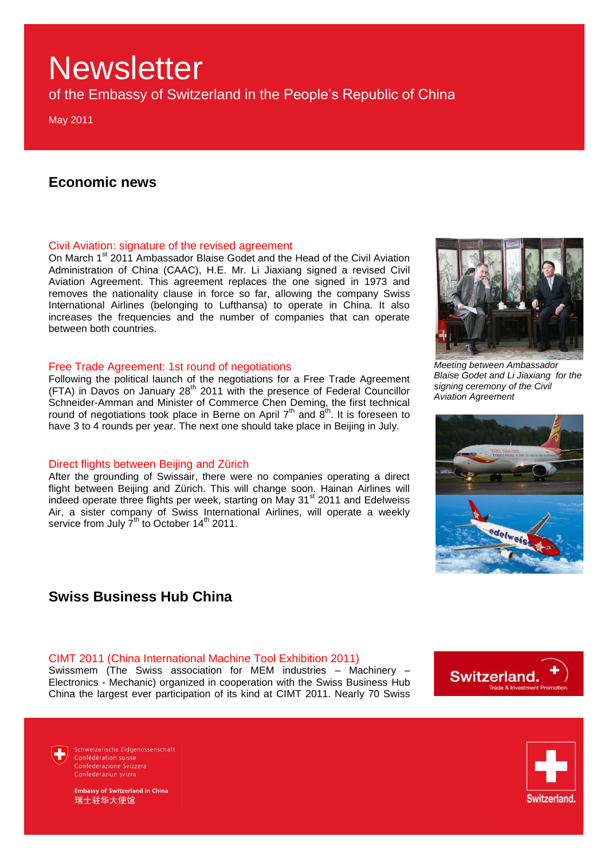of the Embassy of Switzerland in the People"s Republic of China

May 2011

### **Economic news**

#### Civil Aviation: signature of the revised agreement

On March 1<sup>st</sup> 2011 Ambassador Blaise Godet and the Head of the Civil Aviation Administration of China (CAAC), H.E. Mr. Li Jiaxiang signed a revised Civil Aviation Agreement. This agreement replaces the one signed in 1973 and removes the nationality clause in force so far, allowing the company Swiss International Airlines (belonging to Lufthansa) to operate in China. It also increases the frequencies and the number of companies that can operate between both countries.

#### Free Trade Agreement: 1st round of negotiations

Following the political launch of the negotiations for a Free Trade Agreement (FTA) in Davos on January 28<sup>th</sup> 2011 with the presence of Federal Councillor Schneider-Amman and Minister of Commerce Chen Deming, the first technical round of negotiations took place in Berne on April  $7<sup>th</sup>$  and  $8<sup>th</sup>$ . It is foreseen to have 3 to 4 rounds per year. The next one should take place in Beijing in July.

#### Direct flights between Beijing and Zürich

After the grounding of Swissair, there were no companies operating a direct flight between Beijing and Zürich. This will change soon. Hainan Airlines will indeed operate three flights per week, starting on May 31<sup>st</sup> 2011 and Edelweiss Air, a sister company of Swiss International Airlines, will operate a weekly service from July  $7^{th}$  to October 14<sup>th</sup> 2011.

### **Swiss Business Hub China**

#### CIMT 2011 (China International Machine Tool Exhibition 2011)

Swissmem (The Swiss association for MEM industries – Machinery – Electronics - Mechanic) organized in cooperation with the Swiss Business Hub China the largest ever participation of its kind at CIMT 2011. Nearly 70 Swiss



*Blaise Godet and Li Jiaxiang for the signing ceremony of the Civil Aviation Agreement*







Schweizerische Eidgenossenschaft Confédération suisse Confederazione Svizzera Confederaziun svizra

mbassy of Switzerland in China 瑞士驻华大使馆

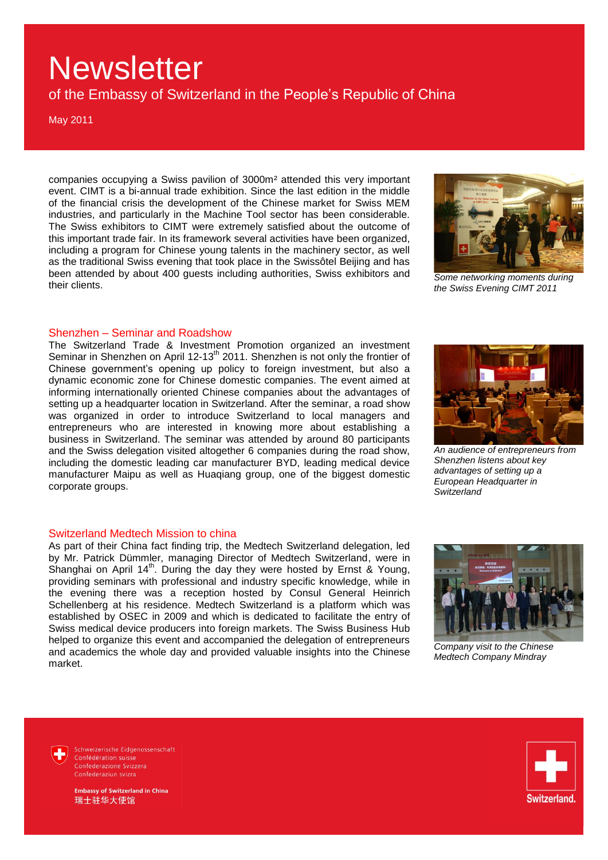of the Embassy of Switzerland in the People"s Republic of China

May 2011

companies occupying a Swiss pavilion of 3000m² attended this very important event. CIMT is a bi-annual trade exhibition. Since the last edition in the middle of the financial crisis the development of the Chinese market for Swiss MEM industries, and particularly in the Machine Tool sector has been considerable. The Swiss exhibitors to CIMT were extremely satisfied about the outcome of this important trade fair. In its framework several activities have been organized, including a program for Chinese young talents in the machinery sector, as well as the traditional Swiss evening that took place in the Swissôtel Beijing and has been attended by about 400 guests including authorities, Swiss exhibitors and their clients.



*Some networking moments during the Swiss Evening CIMT 2011*

#### Shenzhen – Seminar and Roadshow

The Switzerland Trade & Investment Promotion organized an investment Seminar in Shenzhen on April 12-13<sup>th</sup> 2011. Shenzhen is not only the frontier of Chinese government's opening up policy to foreign investment, but also a dynamic economic zone for Chinese domestic companies. The event aimed at informing internationally oriented Chinese companies about the advantages of setting up a headquarter location in Switzerland. After the seminar, a road show was organized in order to introduce Switzerland to local managers and entrepreneurs who are interested in knowing more about establishing a business in Switzerland. The seminar was attended by around 80 participants and the Swiss delegation visited altogether 6 companies during the road show, including the domestic leading car manufacturer BYD, leading medical device manufacturer Maipu as well as Huaqiang group, one of the biggest domestic corporate groups.



*An audience of entrepreneurs from Shenzhen listens about key advantages of setting up a European Headquarter in Switzerland*

#### Switzerland Medtech Mission to china

As part of their China fact finding trip, the Medtech Switzerland delegation, led by Mr. Patrick Dümmler, managing Director of Medtech Switzerland, were in Shanghai on April  $14<sup>th</sup>$ . During the day they were hosted by Ernst & Young, providing seminars with professional and industry specific knowledge, while in the evening there was a reception hosted by Consul General Heinrich Schellenberg at his residence. Medtech Switzerland is a platform which was established by OSEC in 2009 and which is dedicated to facilitate the entry of Swiss medical device producers into foreign markets. The Swiss Business Hub helped to organize this event and accompanied the delegation of entrepreneurs and academics the whole day and provided valuable insights into the Chinese market.



*Company visit to the Chinese Medtech Company Mindray*

Schweizerische Eidgenossenschaft Confédération suisse Confederazione Svizzera Confederaziun svizra



bassy of Switzerland in China 瑞士驻华大使馆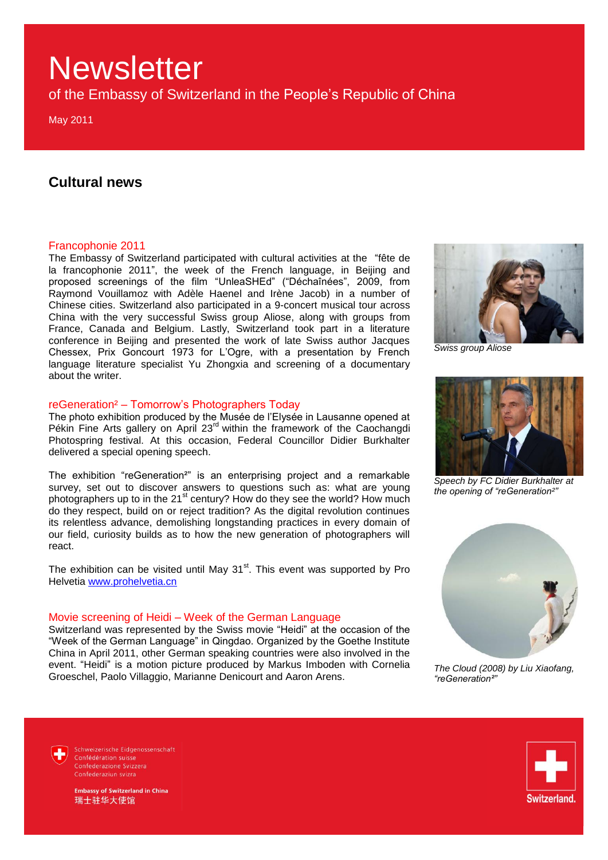of the Embassy of Switzerland in the People"s Republic of China

May 2011

### **Cultural news**

#### Francophonie 2011

The Embassy of Switzerland participated with cultural activities at the "fête de la francophonie 2011", the week of the French language, in Beijing and proposed screenings of the film "UnleaSHEd" ("Déchaînées", 2009, from Raymond Vouillamoz with Adèle Haenel and Irène Jacob) in a number of Chinese cities. Switzerland also participated in a 9-concert musical tour across China with the very successful Swiss group Aliose, along with groups from France, Canada and Belgium. Lastly, Switzerland took part in a literature conference in Beijing and presented the work of late Swiss author Jacques Chessex, Prix Goncourt 1973 for L"Ogre, with a presentation by French language literature specialist Yu Zhongxia and screening of a documentary about the writer.

#### reGeneration² – Tomorrow"s Photographers Today

The photo exhibition produced by the Musée de l"Elysée in Lausanne opened at Pékin Fine Arts gallery on April 23<sup>rd</sup> within the framework of the Caochangdi Photospring festival. At this occasion, Federal Councillor Didier Burkhalter delivered a special opening speech.

The exhibition "reGeneration²" is an enterprising project and a remarkable survey, set out to discover answers to questions such as: what are young photographers up to in the 21<sup>st</sup> century? How do they see the world? How much do they respect, build on or reject tradition? As the digital revolution continues its relentless advance, demolishing longstanding practices in every domain of our field, curiosity builds as to how the new generation of photographers will react.

The exhibition can be visited until May  $31<sup>st</sup>$ . This event was supported by Pro Helvetia [www.prohelvetia.cn](http://www.prohelvetia.cn/)

#### Movie screening of Heidi – Week of the German Language

Switzerland was represented by the Swiss movie "Heidi" at the occasion of the "Week of the German Language" in Qingdao. Organized by the Goethe Institute China in April 2011, other German speaking countries were also involved in the event. "Heidi" is a motion picture produced by Markus Imboden with Cornelia Groeschel, Paolo Villaggio, Marianne Denicourt and Aaron Arens.



*Swiss group Aliose*



*Speech by FC Didier Burkhalter at the opening of "reGeneration²"*



*The Cloud (2008) by Liu Xiaofang, "reGeneration²"*

Schweizerische Eidgenossenschaft Confédération suisse Confederazione Svizzera Confederaziun svizra



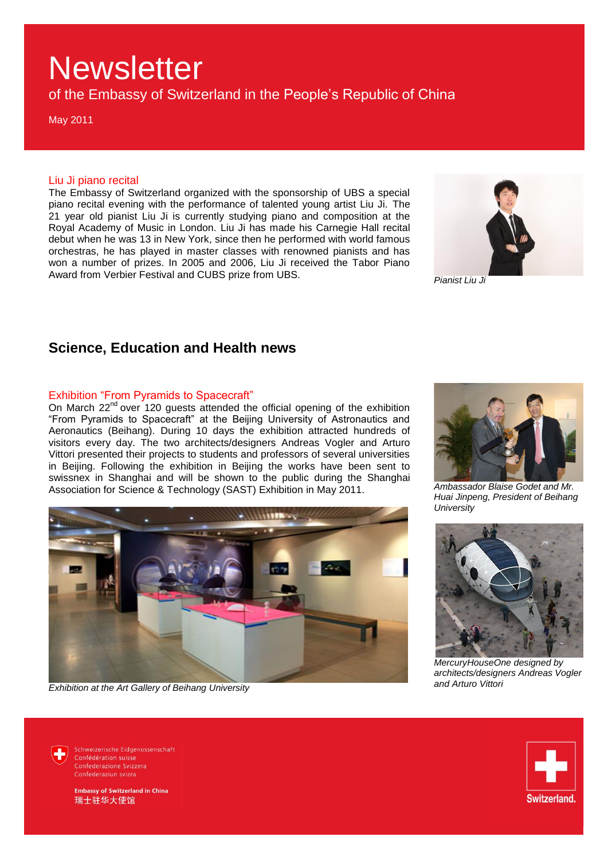of the Embassy of Switzerland in the People"s Republic of China

May 2011

#### Liu Ji piano recital

The Embassy of Switzerland organized with the sponsorship of UBS a special piano recital evening with the performance of talented young artist Liu Ji. The 21 year old pianist Liu Ji is currently studying piano and composition at the Royal Academy of Music in London. Liu Ji has made his Carnegie Hall recital debut when he was 13 in New York, since then he performed with world famous orchestras, he has played in master classes with renowned pianists and has won a number of prizes. In 2005 and 2006, Liu Ji received the Tabor Piano Award from Verbier Festival and CUBS prize from UBS.



*Pianist Liu Ji*

### **Science, Education and Health news**

#### Exhibition "From Pyramids to Spacecraft"

On March 22<sup>nd</sup> over 120 guests attended the official opening of the exhibition "From Pyramids to Spacecraft" at the Beijing University of Astronautics and Aeronautics (Beihang). During 10 days the exhibition attracted hundreds of visitors every day. The two architects/designers Andreas Vogler and Arturo Vittori presented their projects to students and professors of several universities in Beijing. Following the exhibition in Beijing the works have been sent to swissnex in Shanghai and will be shown to the public during the Shanghai Association for Science & Technology (SAST) Exhibition in May 2011.



*Exhibition at the Art Gallery of Beihang University*



*Ambassador Blaise Godet and Mr. Huai Jinpeng, President of Beihang University*



*MercuryHouseOne designed by architects/designers Andreas Vogler and Arturo Vittori*

Schweizerische Eidgenossenschaft Confédération suisse Confederazione Svizzera Confederaziun svizra

**Embassy of Switzerland in China** 瑞士驻华大使馆

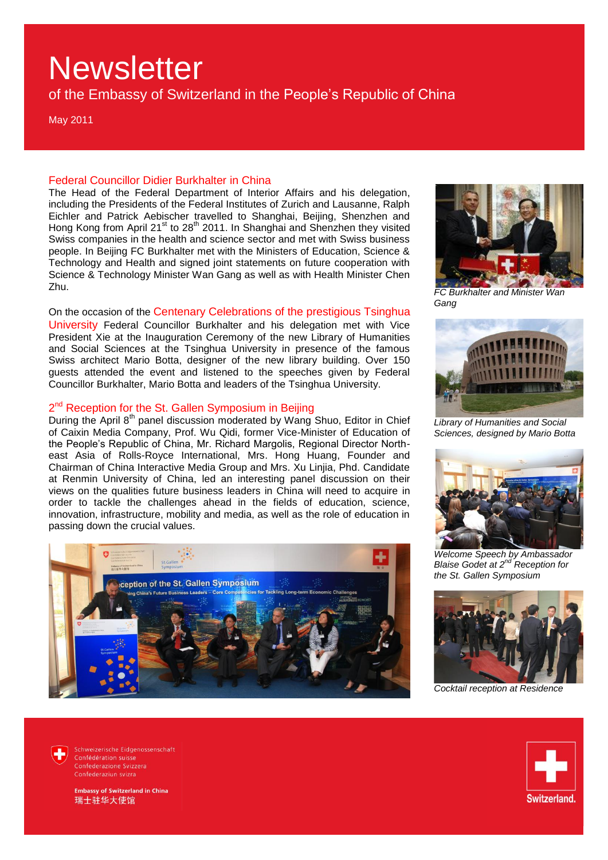of the Embassy of Switzerland in the People"s Republic of China

May 2011

#### Federal Councillor Didier Burkhalter in China

The Head of the Federal Department of Interior Affairs and his delegation, including the Presidents of the Federal Institutes of Zurich and Lausanne, Ralph Eichler and Patrick Aebischer travelled to Shanghai, Beijing, Shenzhen and Hong Kong from April 21<sup>st</sup> to 28<sup>th</sup> 2011. In Shanghai and Shenzhen they visited Swiss companies in the health and science sector and met with Swiss business people. In Beijing FC Burkhalter met with the Ministers of Education, Science & Technology and Health and signed joint statements on future cooperation with Science & Technology Minister Wan Gang as well as with Health Minister Chen Zhu.

On the occasion of the Centenary Celebrations of the prestigious Tsinghua University Federal Councillor Burkhalter and his delegation met with Vice President Xie at the Inauguration Ceremony of the new Library of Humanities and Social Sciences at the Tsinghua University in presence of the famous Swiss architect Mario Botta, designer of the new library building. Over 150 guests attended the event and listened to the speeches given by Federal

Councillor Burkhalter, Mario Botta and leaders of the Tsinghua University.

#### 2<sup>nd</sup> Reception for the St. Gallen Symposium in Beijing

During the April 8<sup>th</sup> panel discussion moderated by Wang Shuo, Editor in Chief of Caixin Media Company, Prof. Wu Qidi, former Vice-Minister of Education of the People"s Republic of China, Mr. Richard Margolis, Regional Director Northeast Asia of Rolls-Royce International, Mrs. Hong Huang, Founder and Chairman of China Interactive Media Group and Mrs. Xu Linjia, Phd. Candidate at Renmin University of China, led an interesting panel discussion on their views on the qualities future business leaders in China will need to acquire in order to tackle the challenges ahead in the fields of education, science, innovation, infrastructure, mobility and media, as well as the role of education in passing down the crucial values.





*FC Burkhalter and Minister Wan Gang*



*Library of Humanities and Social Sciences, designed by Mario Botta*



*Welcome Speech by Ambassador Blaise Godet at 2 nd Reception for the St. Gallen Symposium*



*Cocktail reception at Residence*



Schweizerische Eidgenossenschaft Confédération suisse Confederazione Svizzera Confederaziun svizra



**Imbassy of Switzerland in China** 瑞士驻华大使馆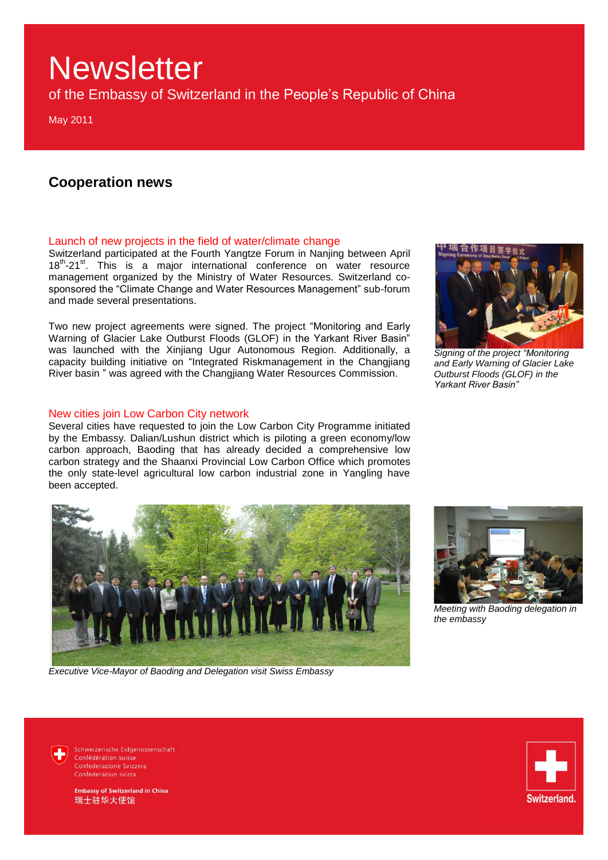of the Embassy of Switzerland in the People"s Republic of China

May 2011

### **Cooperation news**

#### Launch of new projects in the field of water/climate change

Switzerland participated at the Fourth Yangtze Forum in Nanjing between April 18<sup>th</sup>-21<sup>st</sup>. This is a major international conference on water resource management organized by the Ministry of Water Resources. Switzerland cosponsored the "Climate Change and Water Resources Management" sub-forum and made several presentations.

Two new project agreements were signed. The project "Monitoring and Early Warning of Glacier Lake Outburst Floods (GLOF) in the Yarkant River Basin" was launched with the Xinjiang Ugur Autonomous Region. Additionally, a capacity building initiative on "Integrated Riskmanagement in the Changjiang River basin " was agreed with the Changjiang Water Resources Commission.

#### New cities join Low Carbon City network

Several cities have requested to join the Low Carbon City Programme initiated by the Embassy. Dalian/Lushun district which is piloting a green economy/low carbon approach, Baoding that has already decided a comprehensive low carbon strategy and the Shaanxi Provincial Low Carbon Office which promotes the only state-level agricultural low carbon industrial zone in Yangling have been accepted.



*Executive Vice-Mayor of Baoding and Delegation visit Swiss Embassy*



*Signing of the project "Monitoring and Early Warning of Glacier Lake Outburst Floods (GLOF) in the Yarkant River Basin"* 



*Meeting with Baoding delegation in the embassy*

Schweizerische Eidgenossenschaft Confédération suisse Confederazione Svizzera Confederaziun svizra

mbassy of Switzerland in China 瑞士驻华大使馆

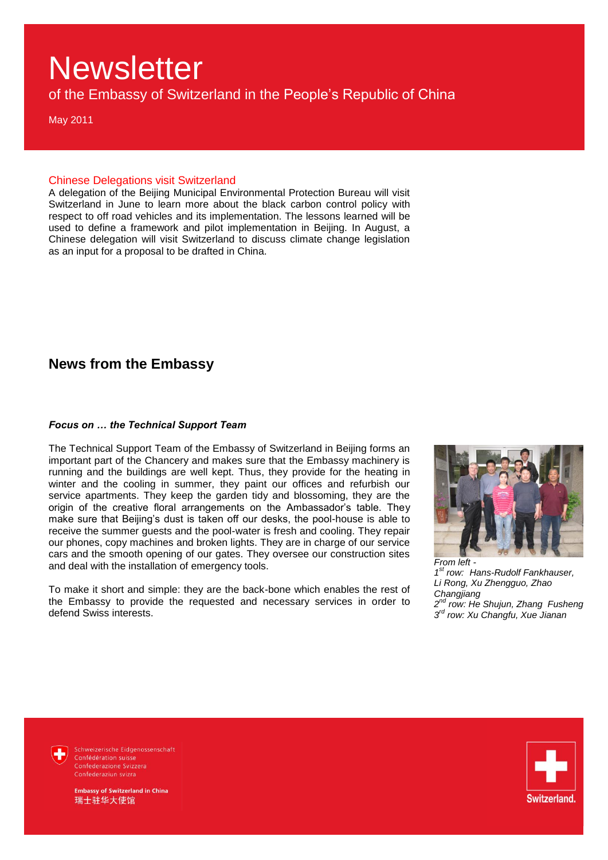of the Embassy of Switzerland in the People"s Republic of China

May 2011

#### Chinese Delegations visit Switzerland

A delegation of the Beijing Municipal Environmental Protection Bureau will visit Switzerland in June to learn more about the black carbon control policy with respect to off road vehicles and its implementation. The lessons learned will be used to define a framework and pilot implementation in Beijing. In August, a Chinese delegation will visit Switzerland to discuss climate change legislation as an input for a proposal to be drafted in China.

### **News from the Embassy**

#### *Focus on … the Technical Support Team*

The Technical Support Team of the Embassy of Switzerland in Beijing forms an important part of the Chancery and makes sure that the Embassy machinery is running and the buildings are well kept. Thus, they provide for the heating in winter and the cooling in summer, they paint our offices and refurbish our service apartments. They keep the garden tidy and blossoming, they are the origin of the creative floral arrangements on the Ambassador"s table. They make sure that Beijing's dust is taken off our desks, the pool-house is able to receive the summer guests and the pool-water is fresh and cooling. They repair our phones, copy machines and broken lights. They are in charge of our service cars and the smooth opening of our gates. They oversee our construction sites and deal with the installation of emergency tools.

To make it short and simple: they are the back-bone which enables the rest of the Embassy to provide the requested and necessary services in order to defend Swiss interests.



*1 st row: Hans-Rudolf Fankhauser, Li Rong, Xu Zhengguo, Zhao Changjiang 2 nd row: He Shujun, Zhang Fusheng 3 rd row: Xu Changfu, Xue Jianan*

Schweizerische Eidgenossenschaft Confédération suisse Confederazione Svizzera Confederaziun svizra

nbassy of Switzerland in China

瑞士驻华大使馆